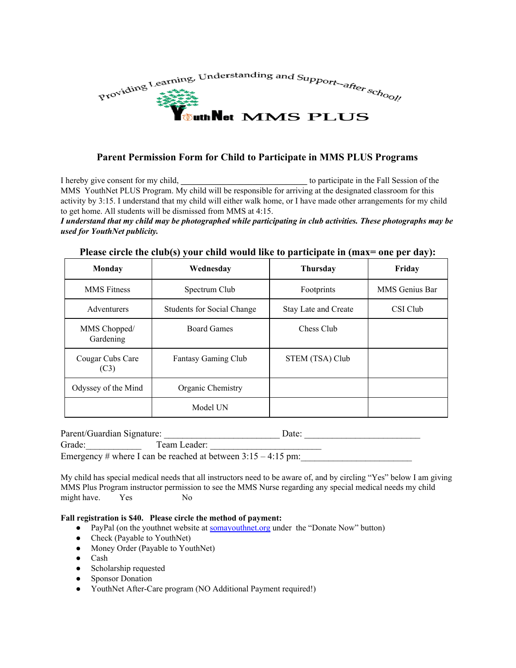

### **Parent Permission Form for Child to Participate in MMS PLUS Programs**

I hereby give consent for my child, **and the Fall Session of the Fall Session** of the Fall Session of the Fall Session of the Fall Session of the Fall Session of the Fall Session of the Fall Session of the Fall Session of MMS YouthNet PLUS Program. My child will be responsible for arriving at the designated classroom for this activity by 3:15. I understand that my child will either walk home, or I have made other arrangements for my child to get home. All students will be dismissed from MMS at 4:15.

#### I understand that my child may be photographed while participating in club activities. These photographs may be *used for YouthNet publicity.*

| <b>Monday</b>             | Wednesday                         | <b>Thursday</b>             | Friday         |
|---------------------------|-----------------------------------|-----------------------------|----------------|
| <b>MMS</b> Fitness        | Spectrum Club                     | Footprints                  | MMS Genius Bar |
| Adventurers               | <b>Students for Social Change</b> | <b>Stay Late and Create</b> | CSI Club       |
| MMS Chopped/<br>Gardening | <b>Board Games</b>                | Chess Club                  |                |
| Cougar Cubs Care<br>(C3)  | <b>Fantasy Gaming Club</b>        | STEM (TSA) Club             |                |
| Odyssey of the Mind       | Organic Chemistry                 |                             |                |
|                           | Model UN                          |                             |                |

#### **Please circle the club(s) your child would like to participate in (max= one per day):**

| Parent/Guardian Signature:                                      |              | Date: |  |  |
|-----------------------------------------------------------------|--------------|-------|--|--|
| Grade:                                                          | Team Leader: |       |  |  |
| Emergency # where I can be reached at between $3:15 - 4:15$ pm: |              |       |  |  |

My child has special medical needs that all instructors need to be aware of, and by circling "Yes" below I am giving MMS Plus Program instructor permission to see the MMS Nurse regarding any special medical needs my child might have. Yes No

#### **Fall registration is \$40. Please circle the method of payment:**

- PayPal (on the youthnet website at **[somayouthnet.org](http://somayouthnet.org/)** under the "Donate Now" button)
- Check (Payable to YouthNet)
- Money Order (Payable to YouthNet)
- Cash
- Scholarship requested
- Sponsor Donation
- YouthNet After-Care program (NO Additional Payment required!)